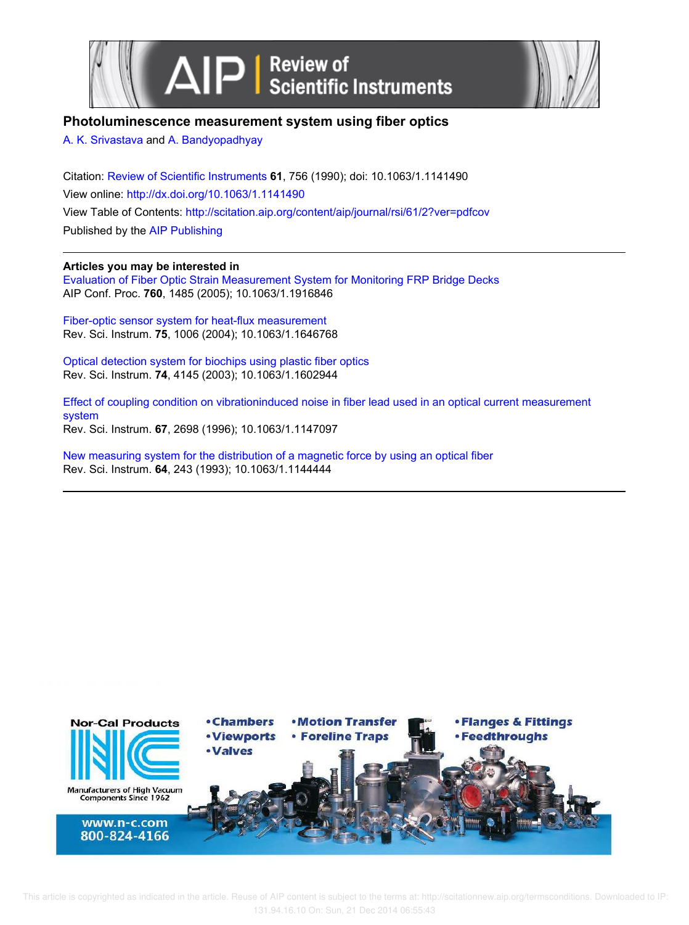



# **Photoluminescence measurement system using fiber optics**

A. K. Srivastava and A. Bandyopadhyay

Citation: Review of Scientific Instruments **61**, 756 (1990); doi: 10.1063/1.1141490 View online: http://dx.doi.org/10.1063/1.1141490 View Table of Contents: http://scitation.aip.org/content/aip/journal/rsi/61/2?ver=pdfcov Published by the AIP Publishing

## **Articles you may be interested in**

Evaluation of Fiber Optic Strain Measurement System for Monitoring FRP Bridge Decks AIP Conf. Proc. **760**, 1485 (2005); 10.1063/1.1916846

Fiber-optic sensor system for heat-flux measurement Rev. Sci. Instrum. **75**, 1006 (2004); 10.1063/1.1646768

Optical detection system for biochips using plastic fiber optics Rev. Sci. Instrum. **74**, 4145 (2003); 10.1063/1.1602944

Effect of coupling condition on vibrationinduced noise in fiber lead used in an optical current measurement system Rev. Sci. Instrum. **67**, 2698 (1996); 10.1063/1.1147097

New measuring system for the distribution of a magnetic force by using an optical fiber Rev. Sci. Instrum. **64**, 243 (1993); 10.1063/1.1144444

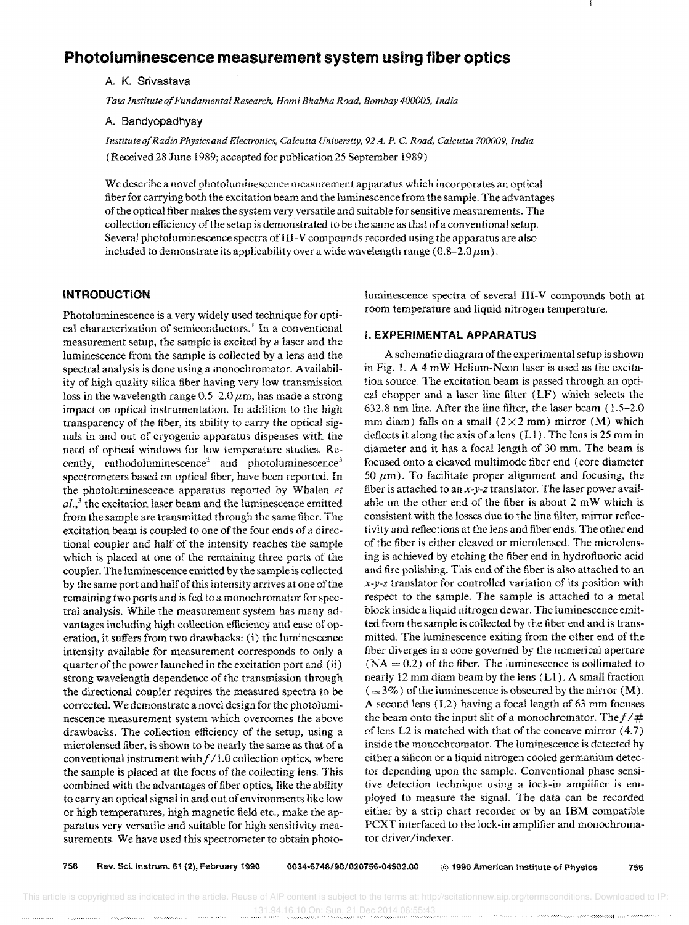# **Photoluminescence measurement system using fiber optics**

A. K. Srivastava

*Tata Institute a/Fundamental Research, Homi Bhabha Road, Bombay 400005, India* 

A. Bandyopadhyay

*Institute o/Radio Physics and Electronics, Calcutta University,* 92 *A. P.* C. *Road, Calcutta 700009, India*  (Received 28 June 1989; accepted forpubIication 25 September 1989)

We describe a novel photoluminescence measurement apparatus which incorporates an optical fiber for carrying both the excitation beam and the luminescence from the sample. The advantages of the optical fiber makes the system very versatile and suitable for sensitive measurements. The collection efficiency of the setup is demonstrated to be the same as that of a conventional setup. Several photoluminescence spectra of III-V compounds recorded using the apparatus are also included to demonstrate its applicability over a wide wavelength range ( $0.8-2.0 \,\mu\text{m}$ ).

### **INTRODUCTION**

Photoluminescence is a very widely used technique for optical characterization of semiconductors.<sup>1</sup> In a conventional measurement setup, the sample is excited by a laser and the luminescence from the sample is collected by a lens and the spectral analysis is done using a monochromator. A vailability of high quality silica fiber having very low transmission loss in the wavelength range  $0.5-2.0 \,\mu m$ , has made a strong impact on optical instrumentation. In addition to the high transparency of the fiber, its ability to carry the optical signals in and out of cryogenic apparatus dispenses with the need of optical windows for low temperature studies. Recently, cathodoluminescence<sup>2</sup> and photoluminescence<sup>3</sup> spectrometers based on optical fiber, have been reported. In the photoluminescence apparatus reported by Whalen *et ai.,3* the excitation laser beam and the luminescence emitted from the sample are transmitted through the same fiber. The excitation beam is coupled to one of the four ends of a directional coupler and half of the intensity reaches the sample which is placed at one of the remaining three ports of the coupler. The luminescence emitted by the sample is collected by the same port and half of this intensity arrives at one of the remaining two ports and is fed to a monochromator for spectral analysis. While the measurement system has many advantages including high collection efficiency and ease of operation, it suffers from two drawbacks: (i) the luminescence intensity available for measurement corresponds to only a quarter of the power launched in the excitation port and (ii) strong wavelength dependence of the transmission through the directional coupler requires the measured spectra to be corrected. We demonstrate a novel design for the photoluminescence measurement system which overcomes the above drawbacks. The collection efficiency of the setup, using a microlensed fiber, is shown to be nearly the same as that of a conventional instrument with  $f/1.0$  collection optics, where the sample is placed at the focus of the collecting lens. This combined with the advantages of fiber optics, like the ability to carry an optical signal in and out of environments like low or high temperatures, high magnetic field etc., make the apparatus very versatile and suitable for high sensitivity measurements. We have used this spectrometer to obtain photoluminescence spectra of several III-V compounds both at room temperature and liquid nitrogen temperature.

#### I. **EXPERIMENTAL APPARATUS**

A schematic diagram of the experimental setup is shown in Fig. 1. A 4 mW Helium-Neon laser is used as the excitation source. The excitation beam is passed through an optical chopper and a laser line filter (LF) which selects the 632.8 nm line. After the line filter, the laser beam (1.5-2.0 mm diam) falls on a small ( $2 \times 2$  mm) mirror (M) which deflects it along the axis of a lens  $(L1)$ . The lens is 25 mm in diameter and it has a focal length of 30 mm. The beam is focused onto a cleaved multimode fiber end (core diameter  $50 \mu$ m). To facilitate proper alignment and focusing, the fiber is attached to an x-y-z translator. The laser power available on the other end of the fiber is about 2 mW which is consistent with the losses due to the line filter, mirror reflectivity and reflections at the lens and fiber ends. The other end of the fiber is either cleaved or microlensed. The microlensing is achieved by etching the fiber end in hydrofluoric acid and fire polishing. This end of the fiber is also attached to an  $x-y-z$  translator for controlled variation of its position with respect to the sample. The sample is attached to a metal block inside a liquid nitrogen dewar. The luminescence emitted from the sample is collected by the fiber end and is transmitted, The luminescence exiting from the other end of the fiber diverges in a cone governed by the numerical aperture  $(NA = 0.2)$  of the fiber. The luminescence is collimated to nearly 12 mm diam beam by the lens (Ll). A small fraction  $(\simeq 3\%)$  of the luminescence is obscured by the mirror (M). A second lens (L2) having a focal length of 63 mm focuses the beam onto the input slit of a monochromator. The  $f/\#$ of lens L2 is matched with that of the concave mirror (4.7) inside the monochromator. The luminescence is detected by either a silicon or a liquid nitrogen cooled germanium detector depending upon the sample. Conventional phase sensitive detection technique using a lock-in amplifier is employed to measure the signal. The data can be recorded either by a strip chart recorder or by an IBM compatible PCXT interfaced to the lock-in amplifier and monochromator driver/indexer.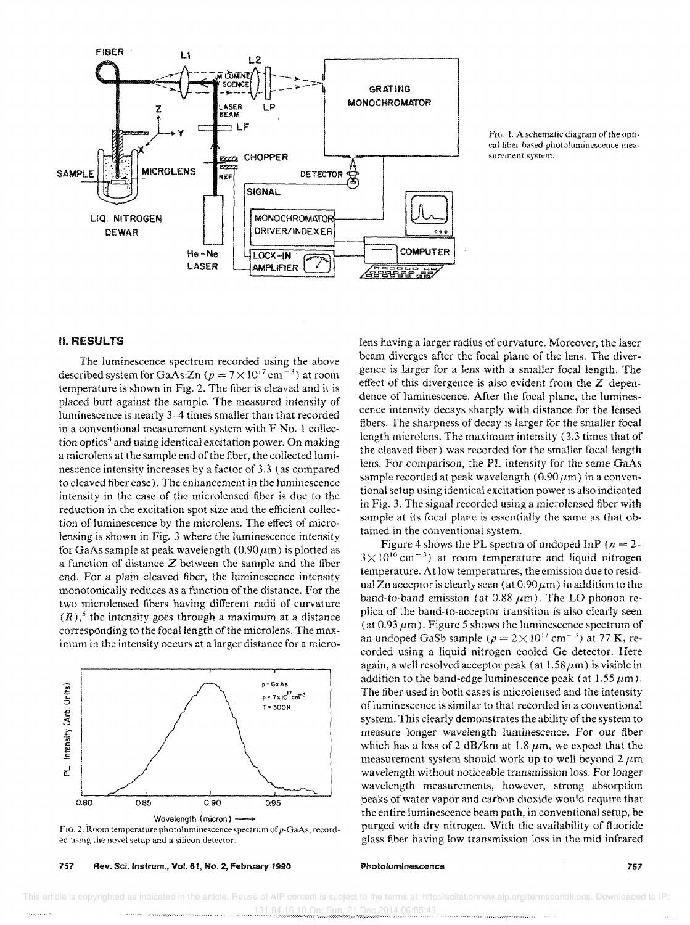



### II. RESULTS

The luminescence spectrum recorded using the above described system for GaAs:Zn ( $p = 7 \times 10^{17}$  cm<sup>-3</sup>) at room temperature is shown in Fig. 2. The fiber is cleaved and it is placed butt against the sample. The measured intensity of luminescence is nearly 3-4 times smaller than that recorded in a conventional measurement system with F No. 1 collection optics<sup>4</sup> and using identical excitation power. On making a microlens at the sample end of the fiber, the collected luminescence intensity increases by a factor of 3.3 (as compared to cleaved fiber case). The enhancement in the luminescence intensity in the case of the microlensed fiber is due to the reduction in the excitation spot size and the efficient collection of luminescence by the microlens. The effect of microlensing is shown in Fig. 3 where the luminescence intensity for GaAs sample at peak wavelength (0.90  $\mu$ m) is plotted as a function of distance Z between the sample and the fiber end. For a plain cleaved fiber, the luminescence intensity monotonically reduces as a function of the distance. For two microlensed fibers having different radii of curvature  $(R)$ ,<sup>5</sup> the intensity goes through a maximum at a distance corresponding to the focal length of the microlens. The maximum in the intensity occurs at a larger distance for a micro-



ed using the novel setup and a silicon detector.

757 Rev. Scl.lnstrum., Vol. 61, No.2, February 1990

lens having a larger radius of curvature. Moreover, the laser beam diverges after the focal plane of the lens. The divergence is larger for a lens with a smaller focal length. The effect of this divergence is also evident from the  $Z$  dependence of luminescence. After the focal plane, the luminescence intensity decays sharply with distance for the lensed fibers. The sharpness of decay is larger for the smaller focal length microlens. The maximum intensity (3.3 times that of the cleaved fiber) was recorded for the smaller focal length lens. For comparison, the PL intensity for the same GaAs sample recorded at peak wavelength ( $0.90 \,\mu$ m) in a conventional setup using identical excitation power is also indicated in Fig. 3. The signal recorded using a microlensed fiber with sample at its focal plane is essentially the same as that obtained in the conventional system.

Figure 4 shows the PL spectra of undoped InP ( $n = 2$ - $3 \times 10^{16}$  cm<sup>-3</sup>) at room temperature and liquid nitrogen temperature. At low temperatures, the emission due to residual Zn acceptor is clearly seen (at  $0.90 \mu m$ ) in addition to the band-to-band emission (at 0.88  $\mu$ m). The LO phonon replica of the band-to-acceptor transition is also clearly seen (at  $0.93 \mu$ m). Figure 5 shows the luminescence spectrum of an undoped GaSb sample ( $p = 2 \times 10^{17}$  cm<sup>-3</sup>) at 77 K, recorded using a liquid nitrogen cooled Ge detector. Here again, a well resolved acceptor peak (at  $1.58 \,\mu\text{m}$ ) is visible in addition to the band-edge luminescence peak (at  $1.55 \mu m$ ). The fiber used in both cases is microlensed and the intensity of luminescence is similar to that recorded in a conventional system. This clearly demonstrates the ability of the system to measure longer wavelength luminescence. For our fiber which has a loss of 2 dB/km at 1.8  $\mu$ m, we expect that the measurement system should work up to well beyond 2  $\mu$ m wavelength without noticeable transmission loss. For longer wavelength measurements, however, strong absorption peaks of water vapor and carbon dioxide would require that the entire luminescence beam path, in conventional setup, be purged with dry nitrogen. With the availability of fluoride glass fiber having low transmission loss in the mid infrared

#### Photoluminescence 757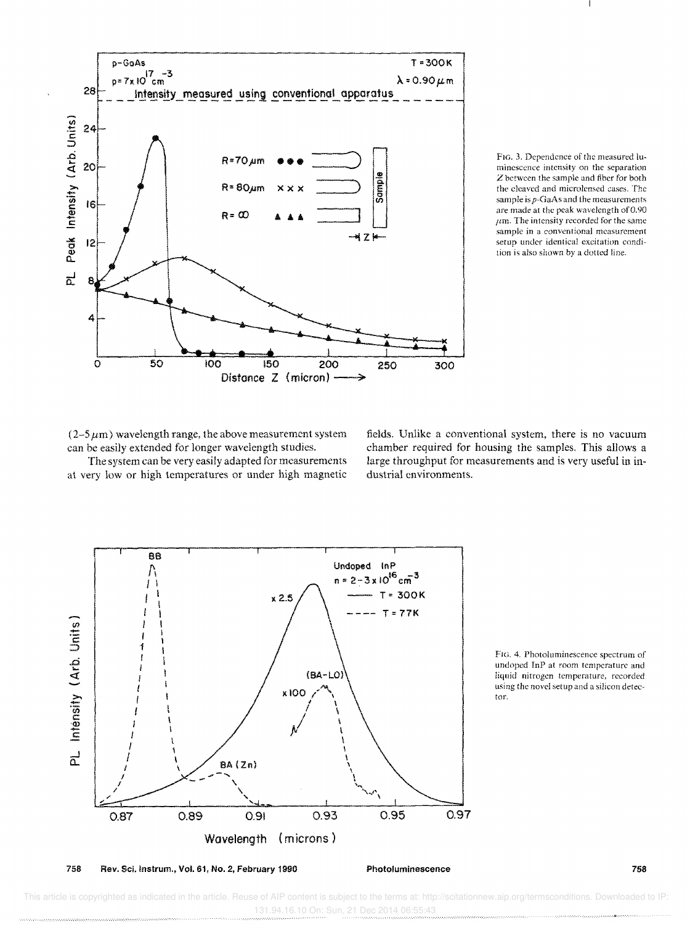



 $(2-5 \mu m)$  wavelength range, the above measurement system can be easily extended for longer wavelength studies.

The system can be very easily adapted for measurements at very low or high temperatures or under high magnetic

fields. Unlike a conventional system, there is no vacuum chamber required for housing the samples. This allows a large throughput for measurements and is very useful in industrial environments.



FIG. 4. Photoluminescence spectrum of undoped InP at room temperature and liquid nitrogen temperature, recorded using the novel setup and a silicon detector.

This article is copyrighted as indicated in the article. Reuse of AIP content is subject to the terms at: http://scitationnew.aip.org/termsconditions. Downloaded to IP 131.94.16.10 On: Sun, 21 Dec 2014 06:55